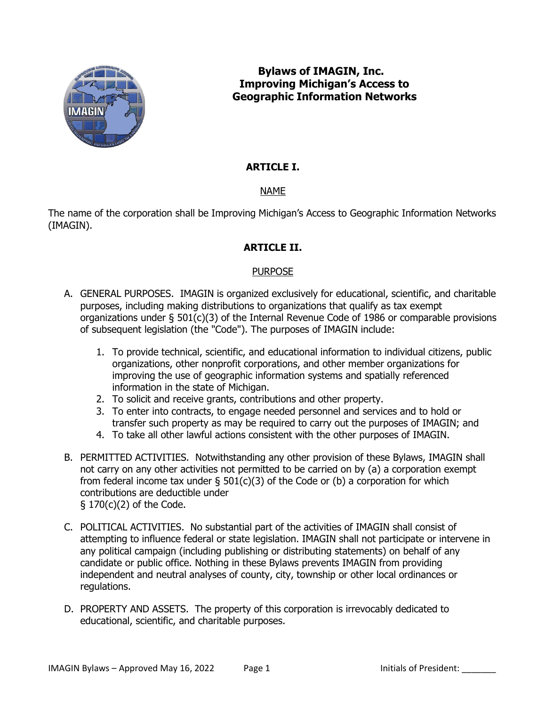

# **Bylaws of IMAGIN, Inc. Improving Michigan's Access to Geographic Information Networks**

# **ARTICLE I.**

# NAME

The name of the corporation shall be Improving Michigan's Access to Geographic Information Networks (IMAGIN).

# **ARTICLE II.**

# PURPOSE

- A. GENERAL PURPOSES. IMAGIN is organized exclusively for educational, scientific, and charitable purposes, including making distributions to organizations that qualify as tax exempt organizations under § 501(c)(3) of the Internal Revenue Code of 1986 or comparable provisions of subsequent legislation (the "Code"). The purposes of IMAGIN include:
	- 1. To provide technical, scientific, and educational information to individual citizens, public organizations, other nonprofit corporations, and other member organizations for improving the use of geographic information systems and spatially referenced information in the state of Michigan.
	- 2. To solicit and receive grants, contributions and other property.
	- 3. To enter into contracts, to engage needed personnel and services and to hold or transfer such property as may be required to carry out the purposes of IMAGIN; and
	- 4. To take all other lawful actions consistent with the other purposes of IMAGIN.
- B. PERMITTED ACTIVITIES. Notwithstanding any other provision of these Bylaws, IMAGIN shall not carry on any other activities not permitted to be carried on by (a) a corporation exempt from federal income tax under  $\S$  501(c)(3) of the Code or (b) a corporation for which contributions are deductible under § 170(c)(2) of the Code.
- C. POLITICAL ACTIVITIES. No substantial part of the activities of IMAGIN shall consist of attempting to influence federal or state legislation. IMAGIN shall not participate or intervene in any political campaign (including publishing or distributing statements) on behalf of any candidate or public office. Nothing in these Bylaws prevents IMAGIN from providing independent and neutral analyses of county, city, township or other local ordinances or regulations.
- D. PROPERTY AND ASSETS. The property of this corporation is irrevocably dedicated to educational, scientific, and charitable purposes.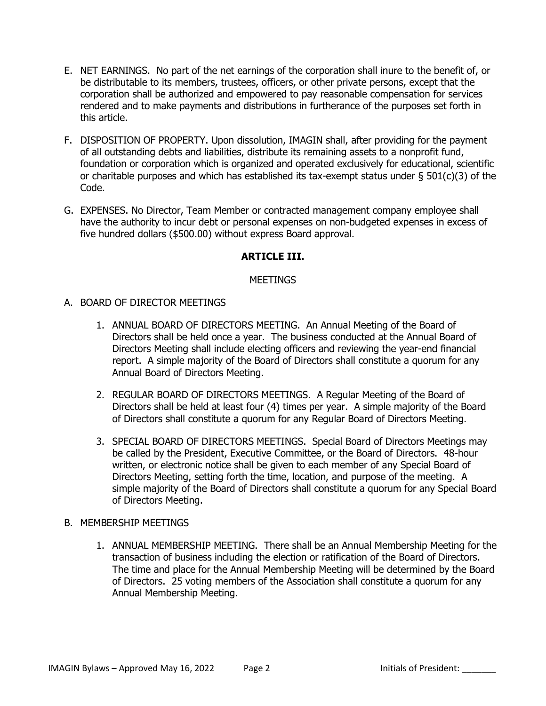- E. NET EARNINGS. No part of the net earnings of the corporation shall inure to the benefit of, or be distributable to its members, trustees, officers, or other private persons, except that the corporation shall be authorized and empowered to pay reasonable compensation for services rendered and to make payments and distributions in furtherance of the purposes set forth in this article.
- F. DISPOSITION OF PROPERTY. Upon dissolution, IMAGIN shall, after providing for the payment of all outstanding debts and liabilities, distribute its remaining assets to a nonprofit fund, foundation or corporation which is organized and operated exclusively for educational, scientific or charitable purposes and which has established its tax-exempt status under  $\S$  501(c)(3) of the Code.
- G. EXPENSES. No Director, Team Member or contracted management company employee shall have the authority to incur debt or personal expenses on non-budgeted expenses in excess of five hundred dollars (\$500.00) without express Board approval.

### **ARTICLE III.**

### **MEETINGS**

- A. BOARD OF DIRECTOR MEETINGS
	- 1. ANNUAL BOARD OF DIRECTORS MEETING. An Annual Meeting of the Board of Directors shall be held once a year. The business conducted at the Annual Board of Directors Meeting shall include electing officers and reviewing the year-end financial report. A simple majority of the Board of Directors shall constitute a quorum for any Annual Board of Directors Meeting.
	- 2. REGULAR BOARD OF DIRECTORS MEETINGS. A Regular Meeting of the Board of Directors shall be held at least four (4) times per year. A simple majority of the Board of Directors shall constitute a quorum for any Regular Board of Directors Meeting.
	- 3. SPECIAL BOARD OF DIRECTORS MEETINGS. Special Board of Directors Meetings may be called by the President, Executive Committee, or the Board of Directors. 48-hour written, or electronic notice shall be given to each member of any Special Board of Directors Meeting, setting forth the time, location, and purpose of the meeting. A simple majority of the Board of Directors shall constitute a quorum for any Special Board of Directors Meeting.

#### B. MEMBERSHIP MEETINGS

1. ANNUAL MEMBERSHIP MEETING. There shall be an Annual Membership Meeting for the transaction of business including the election or ratification of the Board of Directors. The time and place for the Annual Membership Meeting will be determined by the Board of Directors. 25 voting members of the Association shall constitute a quorum for any Annual Membership Meeting.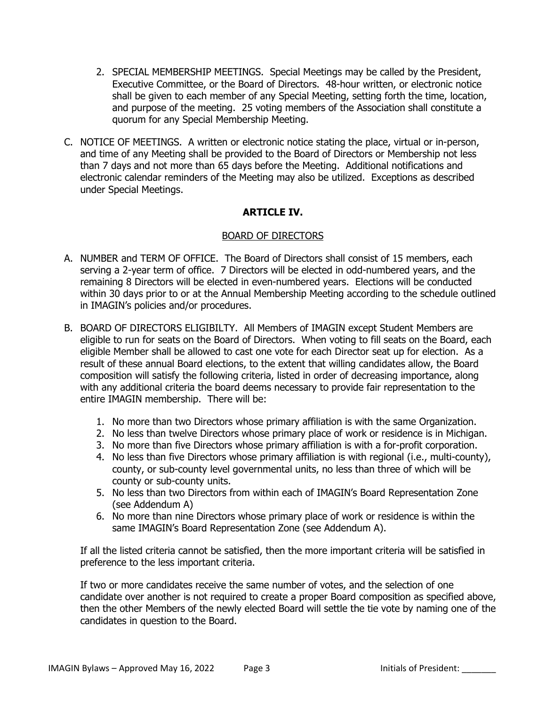- 2. SPECIAL MEMBERSHIP MEETINGS. Special Meetings may be called by the President, Executive Committee, or the Board of Directors. 48-hour written, or electronic notice shall be given to each member of any Special Meeting, setting forth the time, location, and purpose of the meeting. 25 voting members of the Association shall constitute a quorum for any Special Membership Meeting.
- C. NOTICE OF MEETINGS. A written or electronic notice stating the place, virtual or in-person, and time of any Meeting shall be provided to the Board of Directors or Membership not less than 7 days and not more than 65 days before the Meeting. Additional notifications and electronic calendar reminders of the Meeting may also be utilized. Exceptions as described under Special Meetings.

### **ARTICLE IV.**

#### BOARD OF DIRECTORS

- A. NUMBER and TERM OF OFFICE. The Board of Directors shall consist of 15 members, each serving a 2-year term of office. 7 Directors will be elected in odd-numbered years, and the remaining 8 Directors will be elected in even-numbered years. Elections will be conducted within 30 days prior to or at the Annual Membership Meeting according to the schedule outlined in IMAGIN's policies and/or procedures.
- B. BOARD OF DIRECTORS ELIGIBILTY. All Members of IMAGIN except Student Members are eligible to run for seats on the Board of Directors. When voting to fill seats on the Board, each eligible Member shall be allowed to cast one vote for each Director seat up for election. As a result of these annual Board elections, to the extent that willing candidates allow, the Board composition will satisfy the following criteria, listed in order of decreasing importance, along with any additional criteria the board deems necessary to provide fair representation to the entire IMAGIN membership. There will be:
	- 1. No more than two Directors whose primary affiliation is with the same Organization.
	- 2. No less than twelve Directors whose primary place of work or residence is in Michigan.
	- 3. No more than five Directors whose primary affiliation is with a for-profit corporation.
	- 4. No less than five Directors whose primary affiliation is with regional (i.e., multi-county), county, or sub-county level governmental units, no less than three of which will be county or sub-county units.
	- 5. No less than two Directors from within each of IMAGIN's Board Representation Zone (see Addendum A)
	- 6. No more than nine Directors whose primary place of work or residence is within the same IMAGIN's Board Representation Zone (see Addendum A).

If all the listed criteria cannot be satisfied, then the more important criteria will be satisfied in preference to the less important criteria.

If two or more candidates receive the same number of votes, and the selection of one candidate over another is not required to create a proper Board composition as specified above, then the other Members of the newly elected Board will settle the tie vote by naming one of the candidates in question to the Board.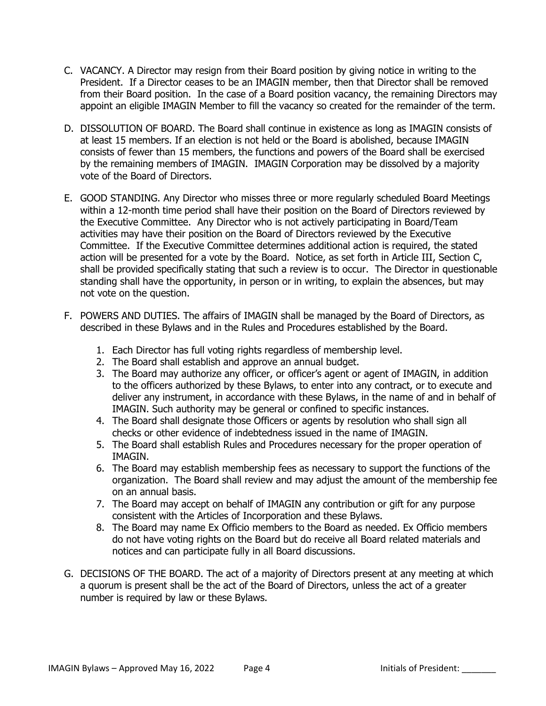- C. VACANCY. A Director may resign from their Board position by giving notice in writing to the President. If a Director ceases to be an IMAGIN member, then that Director shall be removed from their Board position. In the case of a Board position vacancy, the remaining Directors may appoint an eligible IMAGIN Member to fill the vacancy so created for the remainder of the term.
- D. DISSOLUTION OF BOARD. The Board shall continue in existence as long as IMAGIN consists of at least 15 members. If an election is not held or the Board is abolished, because IMAGIN consists of fewer than 15 members, the functions and powers of the Board shall be exercised by the remaining members of IMAGIN. IMAGIN Corporation may be dissolved by a majority vote of the Board of Directors.
- E. GOOD STANDING. Any Director who misses three or more regularly scheduled Board Meetings within a 12-month time period shall have their position on the Board of Directors reviewed by the Executive Committee. Any Director who is not actively participating in Board/Team activities may have their position on the Board of Directors reviewed by the Executive Committee. If the Executive Committee determines additional action is required, the stated action will be presented for a vote by the Board. Notice, as set forth in Article III, Section C, shall be provided specifically stating that such a review is to occur. The Director in questionable standing shall have the opportunity, in person or in writing, to explain the absences, but may not vote on the question.
- F. POWERS AND DUTIES. The affairs of IMAGIN shall be managed by the Board of Directors, as described in these Bylaws and in the Rules and Procedures established by the Board.
	- 1. Each Director has full voting rights regardless of membership level.
	- 2. The Board shall establish and approve an annual budget.
	- 3. The Board may authorize any officer, or officer's agent or agent of IMAGIN, in addition to the officers authorized by these Bylaws, to enter into any contract, or to execute and deliver any instrument, in accordance with these Bylaws, in the name of and in behalf of IMAGIN. Such authority may be general or confined to specific instances.
	- 4. The Board shall designate those Officers or agents by resolution who shall sign all checks or other evidence of indebtedness issued in the name of IMAGIN.
	- 5. The Board shall establish Rules and Procedures necessary for the proper operation of IMAGIN.
	- 6. The Board may establish membership fees as necessary to support the functions of the organization. The Board shall review and may adjust the amount of the membership fee on an annual basis.
	- 7. The Board may accept on behalf of IMAGIN any contribution or gift for any purpose consistent with the Articles of Incorporation and these Bylaws.
	- 8. The Board may name Ex Officio members to the Board as needed. Ex Officio members do not have voting rights on the Board but do receive all Board related materials and notices and can participate fully in all Board discussions.
- G. DECISIONS OF THE BOARD. The act of a majority of Directors present at any meeting at which a quorum is present shall be the act of the Board of Directors, unless the act of a greater number is required by law or these Bylaws.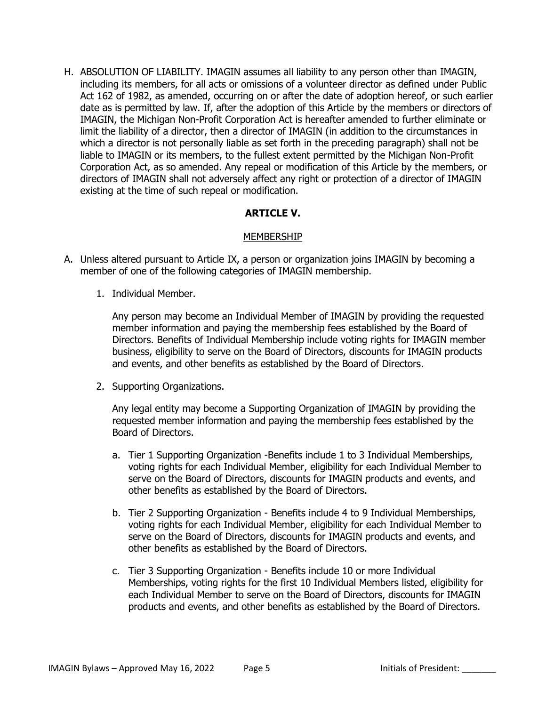H. ABSOLUTION OF LIABILITY. IMAGIN assumes all liability to any person other than IMAGIN, including its members, for all acts or omissions of a volunteer director as defined under Public Act 162 of 1982, as amended, occurring on or after the date of adoption hereof, or such earlier date as is permitted by law. If, after the adoption of this Article by the members or directors of IMAGIN, the Michigan Non-Profit Corporation Act is hereafter amended to further eliminate or limit the liability of a director, then a director of IMAGIN (in addition to the circumstances in which a director is not personally liable as set forth in the preceding paragraph) shall not be liable to IMAGIN or its members, to the fullest extent permitted by the Michigan Non-Profit Corporation Act, as so amended. Any repeal or modification of this Article by the members, or directors of IMAGIN shall not adversely affect any right or protection of a director of IMAGIN existing at the time of such repeal or modification.

### **ARTICLE V.**

### MEMBERSHIP

- A. Unless altered pursuant to Article IX, a person or organization joins IMAGIN by becoming a member of one of the following categories of IMAGIN membership.
	- 1. Individual Member.

Any person may become an Individual Member of IMAGIN by providing the requested member information and paying the membership fees established by the Board of Directors. Benefits of Individual Membership include voting rights for IMAGIN member business, eligibility to serve on the Board of Directors, discounts for IMAGIN products and events, and other benefits as established by the Board of Directors.

2. Supporting Organizations.

Any legal entity may become a Supporting Organization of IMAGIN by providing the requested member information and paying the membership fees established by the Board of Directors.

- a. Tier 1 Supporting Organization -Benefits include 1 to 3 Individual Memberships, voting rights for each Individual Member, eligibility for each Individual Member to serve on the Board of Directors, discounts for IMAGIN products and events, and other benefits as established by the Board of Directors.
- b. Tier 2 Supporting Organization Benefits include 4 to 9 Individual Memberships, voting rights for each Individual Member, eligibility for each Individual Member to serve on the Board of Directors, discounts for IMAGIN products and events, and other benefits as established by the Board of Directors.
- c. Tier 3 Supporting Organization Benefits include 10 or more Individual Memberships, voting rights for the first 10 Individual Members listed, eligibility for each Individual Member to serve on the Board of Directors, discounts for IMAGIN products and events, and other benefits as established by the Board of Directors.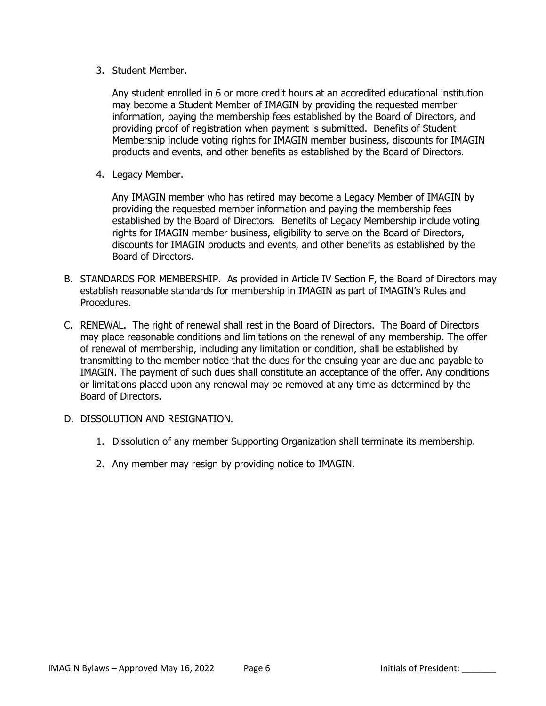3. Student Member.

Any student enrolled in 6 or more credit hours at an accredited educational institution may become a Student Member of IMAGIN by providing the requested member information, paying the membership fees established by the Board of Directors, and providing proof of registration when payment is submitted. Benefits of Student Membership include voting rights for IMAGIN member business, discounts for IMAGIN products and events, and other benefits as established by the Board of Directors.

4. Legacy Member.

Any IMAGIN member who has retired may become a Legacy Member of IMAGIN by providing the requested member information and paying the membership fees established by the Board of Directors. Benefits of Legacy Membership include voting rights for IMAGIN member business, eligibility to serve on the Board of Directors, discounts for IMAGIN products and events, and other benefits as established by the Board of Directors.

- B. STANDARDS FOR MEMBERSHIP. As provided in Article IV Section F, the Board of Directors may establish reasonable standards for membership in IMAGIN as part of IMAGIN's Rules and Procedures.
- C. RENEWAL. The right of renewal shall rest in the Board of Directors. The Board of Directors may place reasonable conditions and limitations on the renewal of any membership. The offer of renewal of membership, including any limitation or condition, shall be established by transmitting to the member notice that the dues for the ensuing year are due and payable to IMAGIN. The payment of such dues shall constitute an acceptance of the offer. Any conditions or limitations placed upon any renewal may be removed at any time as determined by the Board of Directors.
- D. DISSOLUTION AND RESIGNATION.
	- 1. Dissolution of any member Supporting Organization shall terminate its membership.
	- 2. Any member may resign by providing notice to IMAGIN.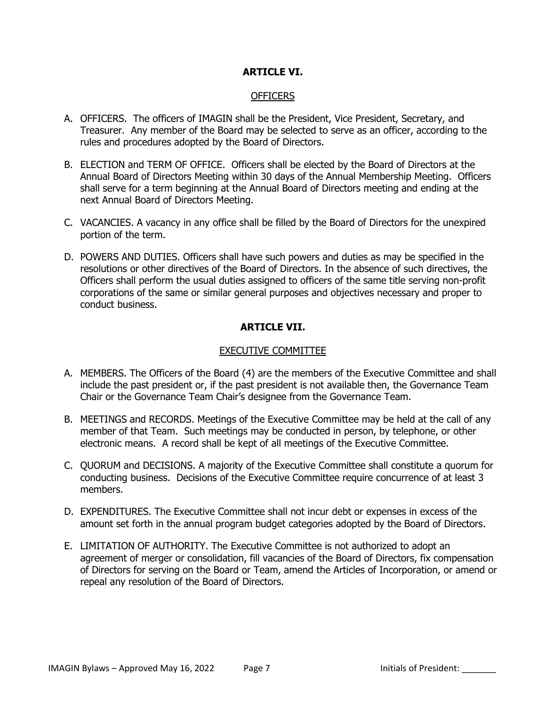### **ARTICLE VI.**

#### OFFICERS

- A. OFFICERS. The officers of IMAGIN shall be the President, Vice President, Secretary, and Treasurer. Any member of the Board may be selected to serve as an officer, according to the rules and procedures adopted by the Board of Directors.
- B. ELECTION and TERM OF OFFICE. Officers shall be elected by the Board of Directors at the Annual Board of Directors Meeting within 30 days of the Annual Membership Meeting. Officers shall serve for a term beginning at the Annual Board of Directors meeting and ending at the next Annual Board of Directors Meeting.
- C. VACANCIES. A vacancy in any office shall be filled by the Board of Directors for the unexpired portion of the term.
- D. POWERS AND DUTIES. Officers shall have such powers and duties as may be specified in the resolutions or other directives of the Board of Directors. In the absence of such directives, the Officers shall perform the usual duties assigned to officers of the same title serving non-profit corporations of the same or similar general purposes and objectives necessary and proper to conduct business.

### **ARTICLE VII.**

#### EXECUTIVE COMMITTEE

- A. MEMBERS. The Officers of the Board (4) are the members of the Executive Committee and shall include the past president or, if the past president is not available then, the Governance Team Chair or the Governance Team Chair's designee from the Governance Team.
- B. MEETINGS and RECORDS. Meetings of the Executive Committee may be held at the call of any member of that Team. Such meetings may be conducted in person, by telephone, or other electronic means. A record shall be kept of all meetings of the Executive Committee.
- C. QUORUM and DECISIONS. A majority of the Executive Committee shall constitute a quorum for conducting business. Decisions of the Executive Committee require concurrence of at least 3 members.
- D. EXPENDITURES. The Executive Committee shall not incur debt or expenses in excess of the amount set forth in the annual program budget categories adopted by the Board of Directors.
- E. LIMITATION OF AUTHORITY. The Executive Committee is not authorized to adopt an agreement of merger or consolidation, fill vacancies of the Board of Directors, fix compensation of Directors for serving on the Board or Team, amend the Articles of Incorporation, or amend or repeal any resolution of the Board of Directors.